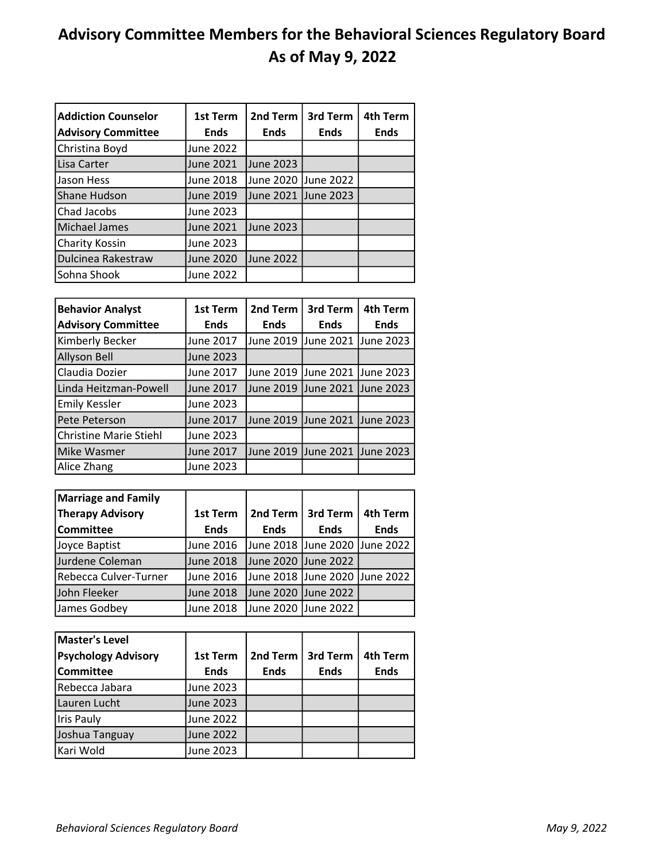## Advisory Committee Members for the Behavioral Sciences Regulatory Board As of May 9, 2022

| <b>Addiction Counselor</b><br><b>Advisory Committee</b> | 1st Term<br><b>Ends</b> | 2nd Term<br><b>Ends</b> | 3rd Term<br><b>Ends</b> | 4th Term<br><b>Ends</b> |
|---------------------------------------------------------|-------------------------|-------------------------|-------------------------|-------------------------|
| Christina Boyd                                          | June 2022               |                         |                         |                         |
| Lisa Carter                                             | June 2021               | June 2023               |                         |                         |
| Jason Hess                                              | <b>June 2018</b>        | June 2020 June 2022     |                         |                         |
| Shane Hudson                                            | June 2019               | June 2021 June 2023     |                         |                         |
| Chad Jacobs                                             | June 2023               |                         |                         |                         |
| Michael James                                           | June 2021               | June 2023               |                         |                         |
| Charity Kossin                                          | June 2023               |                         |                         |                         |
| Dulcinea Rakestraw                                      | <b>June 2020</b>        | <b>June 2022</b>        |                         |                         |
| Sohna Shook                                             | June 2022               |                         |                         |                         |

| <b>Behavior Analyst</b>       | <b>1st Term</b>  | 2nd Term                      | 3rd Term            | 4th Term         |
|-------------------------------|------------------|-------------------------------|---------------------|------------------|
| <b>Advisory Committee</b>     | <b>Ends</b>      | <b>Ends</b>                   | <b>Ends</b>         | <b>Ends</b>      |
| Kimberly Becker               | June 2017        | June 2019  June 2021          |                     | June 2023        |
| Allyson Bell                  | <b>June 2023</b> |                               |                     |                  |
| Claudia Dozier                | June 2017        | June 2019  June 2021          |                     | <b>June 2023</b> |
| Linda Heitzman-Powell         | <b>June 2017</b> | June 2019 June 2021 June 2023 |                     |                  |
| <b>Emily Kessler</b>          | <b>June 2023</b> |                               |                     |                  |
| Pete Peterson                 | June 2017        | June 2019                     | June 2021 June 2023 |                  |
| <b>Christine Marie Stiehl</b> | June 2023        |                               |                     |                  |
| Mike Wasmer                   | <b>June 2017</b> | June 2019                     | June 2021 June 2023 |                  |
| Alice Zhang                   | June 2023        |                               |                     |                  |

| <b>Marriage and Family</b> |                  |                               |             |             |
|----------------------------|------------------|-------------------------------|-------------|-------------|
| <b>Therapy Advisory</b>    | 1st Term         | 2nd Term                      | 3rd Term    | 4th Term    |
| <b>Committee</b>           | <b>Ends</b>      | <b>Ends</b>                   | <b>Ends</b> | <b>Ends</b> |
| Joyce Baptist              | June 2016        | June 2018 June 2020 June 2022 |             |             |
| Jurdene Coleman            | <b>June 2018</b> | June 2020 June 2022           |             |             |
| Rebecca Culver-Turner      | June 2016        | June 2018 June 2020 June 2022 |             |             |
| John Fleeker               | <b>June 2018</b> | June 2020 June 2022           |             |             |
| James Godbey               | <b>June 2018</b> | June 2020 June 2022           |             |             |

| Master's Level             |                  |             |             |             |
|----------------------------|------------------|-------------|-------------|-------------|
| <b>Psychology Advisory</b> | 1st Term         | 2nd Term    | 3rd Term    | 4th Term    |
| Committee                  | <b>Ends</b>      | <b>Ends</b> | <b>Ends</b> | <b>Ends</b> |
| Rebecca Jabara             | <b>June 2023</b> |             |             |             |
| Lauren Lucht               | June 2023        |             |             |             |
| <b>Iris Pauly</b>          | <b>June 2022</b> |             |             |             |
| Joshua Tanguay             | June 2022        |             |             |             |
| Kari Wold                  | June 2023        |             |             |             |